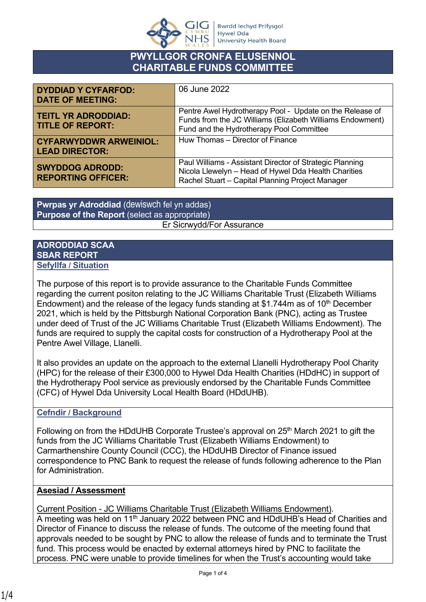

# **PWYLLGOR CRONFA ELUSENNOL CHARITABLE FUNDS COMMITTEE**

| <b>DYDDIAD Y CYFARFOD:</b><br><b>DATE OF MEETING:</b>  | 06 June 2022                                                                                                                                                         |
|--------------------------------------------------------|----------------------------------------------------------------------------------------------------------------------------------------------------------------------|
| <b>TEITL YR ADRODDIAD:</b><br><b>TITLE OF REPORT:</b>  | Pentre Awel Hydrotherapy Pool - Update on the Release of<br>Funds from the JC Williams (Elizabeth Williams Endowment)<br>Fund and the Hydrotherapy Pool Committee    |
| <b>CYFARWYDDWR ARWEINIOL:</b><br><b>LEAD DIRECTOR:</b> | Huw Thomas - Director of Finance                                                                                                                                     |
| <b>SWYDDOG ADRODD:</b><br><b>REPORTING OFFICER:</b>    | Paul Williams - Assistant Director of Strategic Planning<br>Nicola Llewelyn - Head of Hywel Dda Health Charities<br>Rachel Stuart - Capital Planning Project Manager |

**Pwrpas yr Adroddiad** (dewiswch fel yn addas) **Purpose of the Report** (select as appropriate) Er Sicrwydd/For Assurance

#### **ADRODDIAD SCAA SBAR REPORT Sefyllfa / Situation**

The purpose of this report is to provide assurance to the Charitable Funds Committee regarding the current positon relating to the JC Williams Charitable Trust (Elizabeth Williams Endowment) and the release of the legacy funds standing at \$1.744m as of 10<sup>th</sup> December 2021, which is held by the Pittsburgh National Corporation Bank (PNC), acting as Trustee under deed of Trust of the JC Williams Charitable Trust (Elizabeth Williams Endowment). The funds are required to supply the capital costs for construction of a Hydrotherapy Pool at the Pentre Awel Village, Llanelli.

It also provides an update on the approach to the external Llanelli Hydrotherapy Pool Charity (HPC) for the release of their £300,000 to Hywel Dda Health Charities (HDdHC) in support of the Hydrotherapy Pool service as previously endorsed by the Charitable Funds Committee (CFC) of Hywel Dda University Local Health Board (HDdUHB).

# **Cefndir / Background**

Following on from the HDdUHB Corporate Trustee's approval on 25<sup>th</sup> March 2021 to gift the funds from the JC Williams Charitable Trust (Elizabeth Williams Endowment) to Carmarthenshire County Council (CCC), the HDdUHB Director of Finance issued correspondence to PNC Bank to request the release of funds following adherence to the Plan for Administration.

### **Asesiad / Assessment**

Current Position - JC Williams Charitable Trust (Elizabeth Williams Endowment).

A meeting was held on 11<sup>th</sup> January 2022 between PNC and HDdUHB's Head of Charities and Director of Finance to discuss the release of funds. The outcome of the meeting found that approvals needed to be sought by PNC to allow the release of funds and to terminate the Trust fund. This process would be enacted by external attorneys hired by PNC to facilitate the process. PNC were unable to provide timelines for when the Trust's accounting would take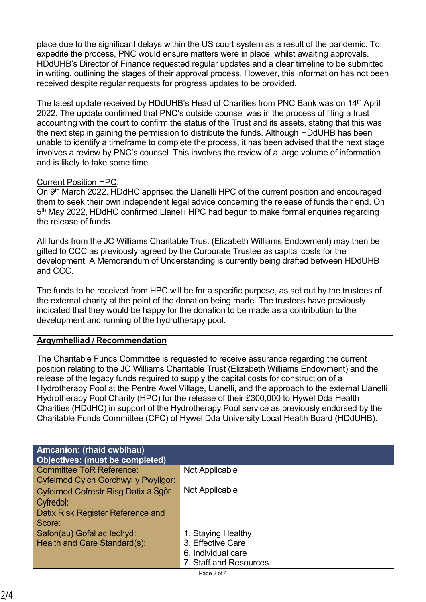place due to the significant delays within the US court system as a result of the pandemic. To expedite the process, PNC would ensure matters were in place, whilst awaiting approvals. HDdUHB's Director of Finance requested regular updates and a clear timeline to be submitted in writing, outlining the stages of their approval process. However, this information has not been received despite regular requests for progress updates to be provided.

The latest update received by HDdUHB's Head of Charities from PNC Bank was on 14<sup>th</sup> April 2022. The update confirmed that PNC's outside counsel was in the process of filing a trust accounting with the court to confirm the status of the Trust and its assets, stating that this was the next step in gaining the permission to distribute the funds. Although HDdUHB has been unable to identify a timeframe to complete the process, it has been advised that the next stage involves a review by PNC's counsel. This involves the review of a large volume of information and is likely to take some time.

### Current Position HPC.

On 9th March 2022, HDdHC apprised the Llanelli HPC of the current position and encouraged them to seek their own independent legal advice concerning the release of funds their end. On 5<sup>th</sup> May 2022, HDdHC confirmed Llanelli HPC had begun to make formal enquiries regarding the release of funds.

All funds from the JC Williams Charitable Trust (Elizabeth Williams Endowment) may then be gifted to CCC as previously agreed by the Corporate Trustee as capital costs for the development. A Memorandum of Understanding is currently being drafted between HDdUHB and CCC.

The funds to be received from HPC will be for a specific purpose, as set out by the trustees of the external charity at the point of the donation being made. The trustees have previously indicated that they would be happy for the donation to be made as a contribution to the development and running of the hydrotherapy pool.

# **Argymhelliad / Recommendation**

The Charitable Funds Committee is requested to receive assurance regarding the current position relating to the JC Williams Charitable Trust (Elizabeth Williams Endowment) and the release of the legacy funds required to supply the capital costs for construction of a Hydrotherapy Pool at the Pentre Awel Village, Llanelli, and the approach to the external Llanelli Hydrotherapy Pool Charity (HPC) for the release of their £300,000 to Hywel Dda Health Charities (HDdHC) in support of the Hydrotherapy Pool service as previously endorsed by the Charitable Funds Committee (CFC) of Hywel Dda University Local Health Board (HDdUHB).

| <b>Amcanion: (rhaid cwblhau)</b><br>Objectives: (must be completed)                              |                                                                                         |
|--------------------------------------------------------------------------------------------------|-----------------------------------------------------------------------------------------|
| <b>Committee ToR Reference:</b><br>Cyfeirnod Cylch Gorchwyl y Pwyllgor:                          | Not Applicable                                                                          |
| Cyfeirnod Cofrestr Risg Datix a Sgôr<br>Cyfredol:<br>Datix Risk Register Reference and<br>Score: | Not Applicable                                                                          |
| Safon(au) Gofal ac lechyd:<br>Health and Care Standard(s):                                       | 1. Staying Healthy<br>3. Effective Care<br>6. Individual care<br>7. Staff and Resources |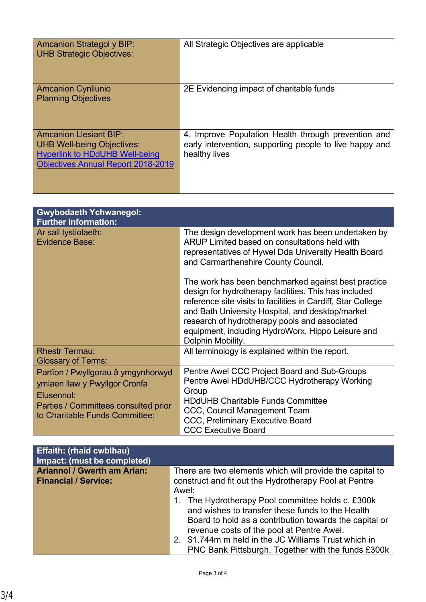| Amcanion Strategol y BIP:<br><b>UHB Strategic Objectives:</b>                                                                                            | All Strategic Objectives are applicable                                                                                         |
|----------------------------------------------------------------------------------------------------------------------------------------------------------|---------------------------------------------------------------------------------------------------------------------------------|
| <b>Amcanion Cynllunio</b><br><b>Planning Objectives</b>                                                                                                  | 2E Evidencing impact of charitable funds                                                                                        |
| <b>Amcanion Llesiant BIP:</b><br><b>UHB Well-being Objectives:</b><br><b>Hyperlink to HDdUHB Well-being</b><br><b>Objectives Annual Report 2018-2019</b> | 4. Improve Population Health through prevention and<br>early intervention, supporting people to live happy and<br>healthy lives |

| <b>Gwybodaeth Ychwanegol:</b><br><b>Further Information:</b>                                                                                                |                                                                                                                                                                                                                                                                                                                                                             |
|-------------------------------------------------------------------------------------------------------------------------------------------------------------|-------------------------------------------------------------------------------------------------------------------------------------------------------------------------------------------------------------------------------------------------------------------------------------------------------------------------------------------------------------|
| Ar sail tystiolaeth:<br><b>Evidence Base:</b>                                                                                                               | The design development work has been undertaken by<br>ARUP Limited based on consultations held with<br>representatives of Hywel Dda University Health Board<br>and Carmarthenshire County Council.                                                                                                                                                          |
|                                                                                                                                                             | The work has been benchmarked against best practice<br>design for hydrotherapy facilities. This has included<br>reference site visits to facilities in Cardiff, Star College<br>and Bath University Hospital, and desktop/market<br>research of hydrotherapy pools and associated<br>equipment, including HydroWorx, Hippo Leisure and<br>Dolphin Mobility. |
| <b>Rhestr Termau:</b><br><b>Glossary of Terms:</b>                                                                                                          | All terminology is explained within the report.                                                                                                                                                                                                                                                                                                             |
| Partïon / Pwyllgorau â ymgynhorwyd<br>ymlaen llaw y Pwyllgor Cronfa<br>Elusennol:<br>Parties / Committees consulted prior<br>to Charitable Funds Committee: | Pentre Awel CCC Project Board and Sub-Groups<br>Pentre Awel HDdUHB/CCC Hydrotherapy Working<br>Group<br><b>HDdUHB Charitable Funds Committee</b><br>CCC, Council Management Team<br><b>CCC, Preliminary Executive Board</b><br><b>CCC Executive Board</b>                                                                                                   |

| <b>Effaith: (rhaid cwblhau)</b><br>Impact: (must be completed) |                                                          |
|----------------------------------------------------------------|----------------------------------------------------------|
| <b>Ariannol / Gwerth am Arian:</b>                             | There are two elements which will provide the capital to |
| <b>Financial / Service:</b>                                    | construct and fit out the Hydrotherapy Pool at Pentre    |
|                                                                | Awel:                                                    |
|                                                                | 1. The Hydrotherapy Pool committee holds c. £300k        |
|                                                                | and wishes to transfer these funds to the Health         |
|                                                                | Board to hold as a contribution towards the capital or   |
|                                                                | revenue costs of the pool at Pentre Awel.                |
|                                                                | 2. \$1.744m m held in the JC Williams Trust which in     |
|                                                                | PNC Bank Pittsburgh. Together with the funds £300k       |